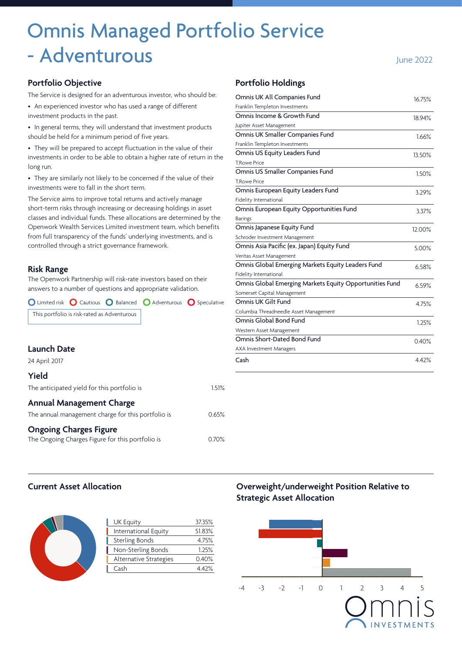# Omnis Managed Portfolio Service - Adventurous **Islaming the 2022**

#### **Portfolio Objective**

The Service is designed for an adventurous investor, who should be:

• An experienced investor who has used a range of different investment products in the past.

• In general terms, they will understand that investment products should be held for a minimum period of five years.

• They will be prepared to accept fluctuation in the value of their investments in order to be able to obtain a higher rate of return in the long run.

• They are similarly not likely to be concerned if the value of their investments were to fall in the short term.

The Service aims to improve total returns and actively manage short-term risks through increasing or decreasing holdings in asset classes and individual funds. These allocations are determined by the Openwork Wealth Services Limited investment team, which benefits from full transparency of the funds' underlying investments, and is controlled through a strict governance framework.

#### **Risk Range**

The Openwork Partnership will risk-rate investors based on their answers to a number of questions and appropriate validation.

 $\bigcirc$  Limited risk  $\bigcirc$  Cautious  $\bigcirc$  Balanced  $\bigcirc$  Adventurous  $\bigcirc$  Speculative This portfolio is risk-rated as Adventurous

## **Launch Date**

24 April 2017

## **Yield**

| The anticipated yield for this portfolio is        | 1.51%    |
|----------------------------------------------------|----------|
| <b>Annual Management Charge</b>                    |          |
| The annual management charge for this portfolio is | 0.65%    |
| <b>Ongoing Charges Figure</b>                      |          |
| The Ongoing Charges Figure for this portfolio is   | $0.70\%$ |

#### **Portfolio Holdings**

| Omnis UK All Companies Fund                             | 16.75% |
|---------------------------------------------------------|--------|
| Franklin Templeton Investments                          |        |
| Omnis Income & Growth Fund                              | 18.94% |
| Jupiter Asset Management                                |        |
| Omnis UK Smaller Companies Fund                         | 1.66%  |
| Franklin Templeton Investments                          |        |
| Omnis US Equity Leaders Fund                            | 13.50% |
| <b>T.Rowe Price</b>                                     |        |
| Omnis US Smaller Companies Fund                         | 1.50%  |
| <b>TRowe Price</b>                                      |        |
| Omnis European Equity Leaders Fund                      | 3.29%  |
| Fidelity International                                  |        |
| Omnis European Equity Opportunities Fund                | 3.37%  |
| <b>Barings</b>                                          |        |
| Omnis Japanese Equity Fund                              | 12.00% |
| Schroder Investment Management                          |        |
| Omnis Asia Pacific (ex. Japan) Equity Fund              | 5.00%  |
| Veritas Asset Management                                |        |
| Omnis Global Emerging Markets Equity Leaders Fund       | 6.58%  |
| Fidelity International                                  |        |
| Omnis Global Emerging Markets Equity Opportunities Fund | 6.59%  |
| Somerset Capital Management                             |        |
| Omnis UK Gilt Fund                                      | 4.75%  |
| Columbia Threadneedle Asset Management                  |        |
| Omnis Global Bond Fund                                  | 1.25%  |
| Western Asset Management                                |        |
| Omnis Short-Dated Bond Fund                             | 0.40%  |
| <b>AXA Investment Managers</b>                          |        |
| Cash                                                    | 4.42%  |

## **Current Asset Allocation**



| <b>UK Equity</b>       | 37.35% |
|------------------------|--------|
| International Equity   | 51.83% |
| <b>Sterling Bonds</b>  | 4.75%  |
| Non-Sterling Bonds     | 1.25%  |
| Alternative Strategies | 0.40%  |
| Cash                   | 4.42%  |
|                        |        |

# **Overweight/underweight Position Relative to Strategic Asset Allocation**